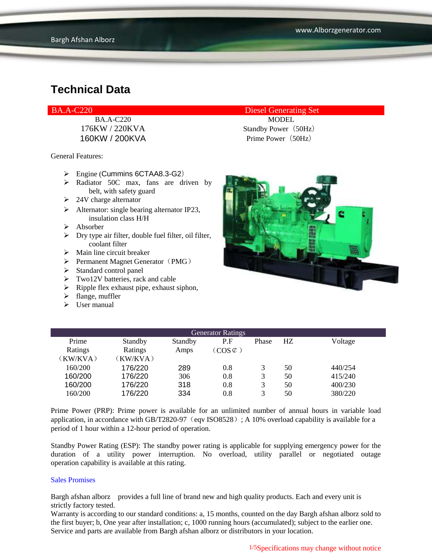BA.A-C220 Diesel Generating Set

General Features:

- $\triangleright$  Engine (Cummins 6CTAA8.3-G2)
- > Radiator 50C max, fans are driven by belt, with safety guard
- $\geq 24V$  charge alternator
- $\triangleright$  Alternator: single bearing alternator IP23, insulation class H/H
- $\triangleright$  Absorber
- $\triangleright$  Dry type air filter, double fuel filter, oil filter, coolant filter
- $\triangleright$  Main line circuit breaker
- Permanent Magnet Generator (PMG)
- $\triangleright$  Standard control panel
- $\triangleright$  Two12V batteries, rack and cable
- $\triangleright$  Ripple flex exhaust pipe, exhaust siphon,
- $\triangleright$  flange, muffler
- $\triangleright$  User manual

BA.A-C220 MODEL 176KW / 220KVA Standby Power (50Hz) 160KW / 200KVA Prime Power (50Hz)



| <b>Generator Ratings</b> |          |         |                     |       |    |         |
|--------------------------|----------|---------|---------------------|-------|----|---------|
| Prime                    | Standby  | Standby | P.F                 | Phase | HZ | Voltage |
| Ratings                  | Ratings  | Amps    | $(COS \mathcal{C})$ |       |    |         |
| (KW/KVA)                 | (KW/KVA) |         |                     |       |    |         |
| 160/200                  | 176/220  | 289     | 0.8                 | 3     | 50 | 440/254 |
| 160/200                  | 176/220  | 306     | 0.8                 | 3     | 50 | 415/240 |
| 160/200                  | 176/220  | 318     | 0.8                 | 3     | 50 | 400/230 |
| 160/200                  | 176/220  | 334     | 0.8                 | 3     | 50 | 380/220 |

Prime Power (PRP): Prime power is available for an unlimited number of annual hours in variable load application, in accordance with GB/T2820-97 (eqv ISO8528); A 10% overload capability is available for a period of 1 hour within a 12-hour period of operation.

Standby Power Rating (ESP): The standby power rating is applicable for supplying emergency power for the duration of a utility power interruption. No overload, utility parallel or negotiated outage operation capability is available at this rating.

#### Sales Promises

Bargh afshan alborz provides a full line of brand new and high quality products. Each and every unit is strictly factory tested.

Warranty is according to our standard conditions: a, 15 months, counted on the day Bargh afshan alborz sold to the first buyer; b, One year after installation; c, 1000 running hours (accumulated); subject to the earlier one. Service and parts are available from Bargh afshan alborz or distributors in your location.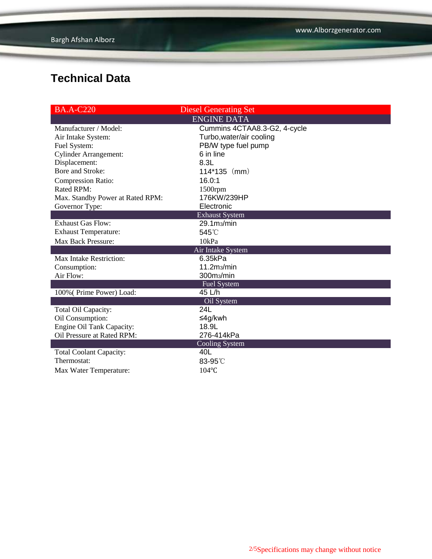| $BA.A-C220$                      | <b>Diesel Generating Set</b> |  |  |
|----------------------------------|------------------------------|--|--|
|                                  | <b>ENGINE DATA</b>           |  |  |
| Manufacturer / Model:            | Cummins 4CTAA8.3-G2, 4-cycle |  |  |
| Air Intake System:               | Turbo, water/air cooling     |  |  |
| Fuel System:                     | PB/W type fuel pump          |  |  |
| <b>Cylinder Arrangement:</b>     | 6 in line                    |  |  |
| Displacement:                    | 8.3L                         |  |  |
| Bore and Stroke:                 | $114*135$ (mm)               |  |  |
| <b>Compression Ratio:</b>        | 16.0:1                       |  |  |
| Rated RPM:                       | 1500rpm                      |  |  |
| Max. Standby Power at Rated RPM: | 176KW/239HP                  |  |  |
| Governor Type:                   | Electronic                   |  |  |
|                                  | <b>Exhaust System</b>        |  |  |
| <b>Exhaust Gas Flow:</b>         | 29.1m <sub>3</sub> /min      |  |  |
| <b>Exhaust Temperature:</b>      | 545°C                        |  |  |
| <b>Max Back Pressure:</b>        | 10kPa                        |  |  |
|                                  | Air Intake System            |  |  |
| Max Intake Restriction:          | 6.35kPa                      |  |  |
| Consumption:                     | 11.2 <sub>ms/min</sub>       |  |  |
| Air Flow:                        | 300m <sub>3</sub> /min       |  |  |
|                                  | <b>Fuel System</b>           |  |  |
| 100% (Prime Power) Load:         | 45 L/h                       |  |  |
|                                  | Oil System                   |  |  |
| Total Oil Capacity:              | 24L                          |  |  |
| Oil Consumption:                 | ≤4g/kwh                      |  |  |
| <b>Engine Oil Tank Capacity:</b> | 18.9L                        |  |  |
| Oil Pressure at Rated RPM:       | 276-414kPa                   |  |  |
|                                  | <b>Cooling System</b>        |  |  |
| <b>Total Coolant Capacity:</b>   | 40L                          |  |  |
| Thermostat:                      | 83-95°C                      |  |  |
| Max Water Temperature:           | 104°C                        |  |  |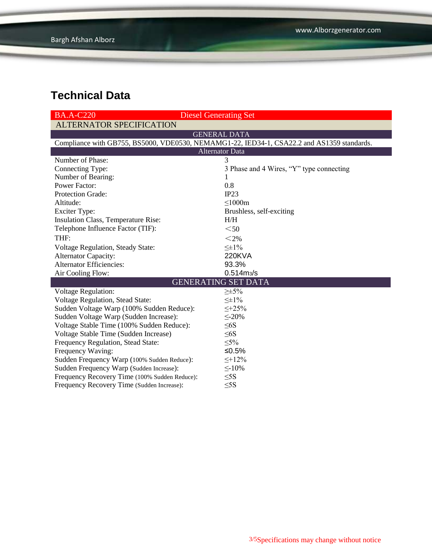| $BA.A-C220$                                                                                | <b>Diesel Generating Set</b>             |  |  |  |  |
|--------------------------------------------------------------------------------------------|------------------------------------------|--|--|--|--|
| <b>ALTERNATOR SPECIFICATION</b>                                                            |                                          |  |  |  |  |
|                                                                                            | <b>GENERAL DATA</b>                      |  |  |  |  |
| Compliance with GB755, BS5000, VDE0530, NEMAMG1-22, IED34-1, CSA22.2 and AS1359 standards. |                                          |  |  |  |  |
| Alternator Data                                                                            |                                          |  |  |  |  |
| Number of Phase:                                                                           | 3                                        |  |  |  |  |
| Connecting Type:                                                                           | 3 Phase and 4 Wires, "Y" type connecting |  |  |  |  |
| Number of Bearing:                                                                         | 1                                        |  |  |  |  |
| <b>Power Factor:</b>                                                                       | 0.8                                      |  |  |  |  |
| <b>Protection Grade:</b>                                                                   | IP23                                     |  |  |  |  |
| Altitude:                                                                                  | $\leq$ 1000m                             |  |  |  |  |
| <b>Exciter Type:</b>                                                                       | Brushless, self-exciting                 |  |  |  |  |
| Insulation Class, Temperature Rise:                                                        | H/H                                      |  |  |  |  |
| Telephone Influence Factor (TIF):                                                          | $50$                                     |  |  |  |  |
| THF:                                                                                       | $<$ 2%                                   |  |  |  |  |
| <b>Voltage Regulation, Steady State:</b>                                                   | $\leq \pm 1\%$                           |  |  |  |  |
| Alternator Capacity:                                                                       | <b>220KVA</b>                            |  |  |  |  |
| <b>Alternator Efficiencies:</b>                                                            | 93.3%                                    |  |  |  |  |
| Air Cooling Flow:                                                                          | $0.514 \, \text{m}$ <sub>3</sub> /s      |  |  |  |  |
|                                                                                            | <b>GENERATING SET DATA</b>               |  |  |  |  |
| <b>Voltage Regulation:</b>                                                                 | $\geq \pm 5\%$                           |  |  |  |  |
| <b>Voltage Regulation, Stead State:</b>                                                    | $\leq \pm 1\%$                           |  |  |  |  |
| Sudden Voltage Warp (100% Sudden Reduce):                                                  | $\leq +25\%$                             |  |  |  |  |
| Sudden Voltage Warp (Sudden Increase):                                                     | $\leq$ -20%                              |  |  |  |  |
| Voltage Stable Time (100% Sudden Reduce):                                                  | $\leq 6S$                                |  |  |  |  |
| Voltage Stable Time (Sudden Increase)                                                      | $\leq 6S$                                |  |  |  |  |
| Frequency Regulation, Stead State:                                                         | $\leq 5\%$                               |  |  |  |  |
| Frequency Waving:                                                                          | ≤0.5%                                    |  |  |  |  |
| Sudden Frequency Warp (100% Sudden Reduce):                                                | $\leq +12\%$                             |  |  |  |  |
| Sudden Frequency Warp (Sudden Increase):                                                   | $\leq$ -10%                              |  |  |  |  |
| Frequency Recovery Time (100% Sudden Reduce):                                              | $\leq$ 5S                                |  |  |  |  |
| Frequency Recovery Time (Sudden Increase):                                                 | $\leq$ 5S                                |  |  |  |  |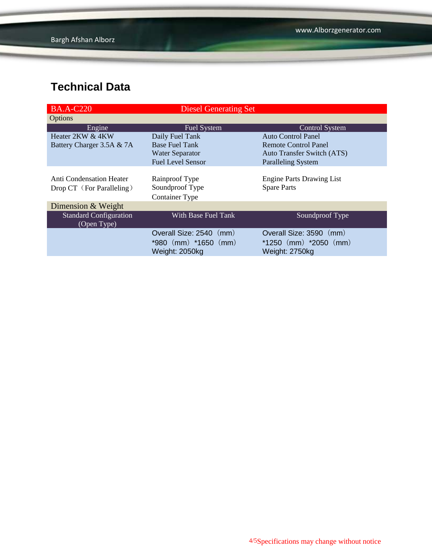| <b>BA.A-C220</b>              | <b>Diesel Generating Set</b> |                                   |
|-------------------------------|------------------------------|-----------------------------------|
| Options                       |                              |                                   |
| Engine                        | <b>Fuel System</b>           | <b>Control System</b>             |
| Heater 2KW & 4KW              | Daily Fuel Tank              | Auto Control Panel                |
| Battery Charger 3.5A & 7A     | <b>Base Fuel Tank</b>        | <b>Remote Control Panel</b>       |
|                               | <b>Water Separator</b>       | <b>Auto Transfer Switch (ATS)</b> |
|                               | <b>Fuel Level Sensor</b>     | <b>Paralleling System</b>         |
|                               |                              |                                   |
| Anti Condensation Heater      | Rainproof Type               | <b>Engine Parts Drawing List</b>  |
| Drop CT (For Paralleling)     | Soundproof Type              | <b>Spare Parts</b>                |
|                               | <b>Container Type</b>        |                                   |
| Dimension & Weight            |                              |                                   |
| <b>Standard Configuration</b> | With Base Fuel Tank          | Soundproof Type                   |
| (Open Type)                   |                              |                                   |
|                               | Overall Size: 2540 (mm)      | Overall Size: 3590 (mm)           |
|                               | $*980$ (mm) $*1650$ (mm)     | $*1250$ (mm) $*2050$ (mm)         |
|                               | Weight: 2050kg               | Weight: 2750kg                    |
|                               |                              |                                   |